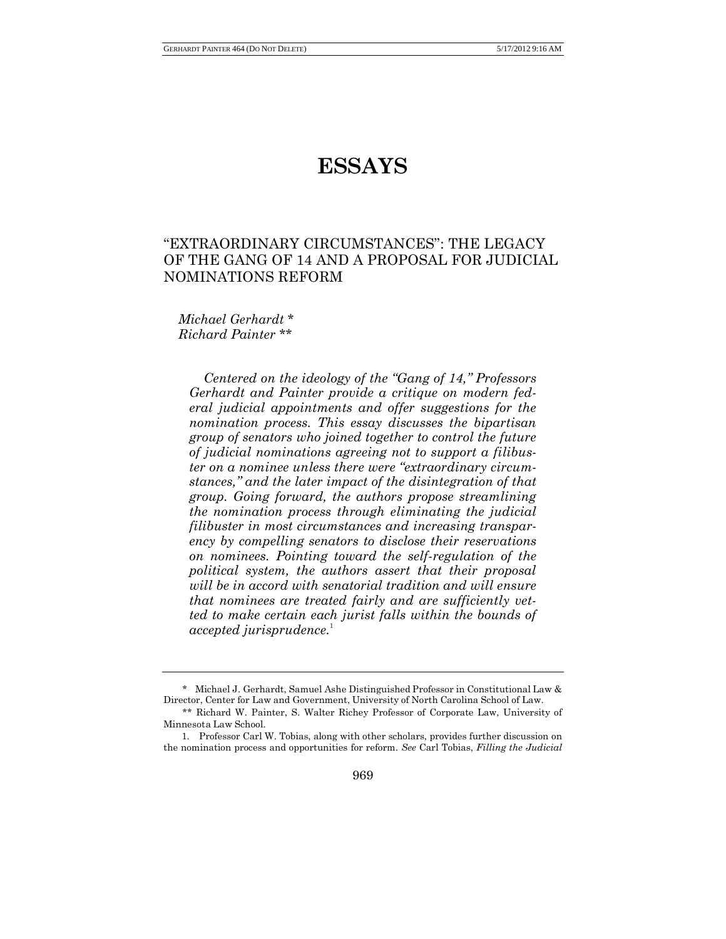# **ESSAYS**

## "EXTRAORDINARY CIRCUMSTANCES": THE LEGACY OF THE GANG OF 14 AND A PROPOSAL FOR JUDICIAL NOMINATIONS REFORM

*Michael Gerhardt* \* *Richard Painter* \*\*

*Centered on the ideology of the "Gang of 14," Professors Gerhardt and Painter provide a critique on modern federal judicial appointments and offer suggestions for the nomination process. This essay discusses the bipartisan group of senators who joined together to control the future of judicial nominations agreeing not to support a filibuster on a nominee unless there were "extraordinary circumstances," and the later impact of the disintegration of that group. Going forward, the authors propose streamlining the nomination process through eliminating the judicial filibuster in most circumstances and increasing transparency by compelling senators to disclose their reservations on nominees. Pointing toward the self-regulation of the political system, the authors assert that their proposal will be in accord with senatorial tradition and will ensure that nominees are treated fairly and are sufficiently vetted to make certain each jurist falls within the bounds of accepted jurisprudence.*<sup>1</sup>

<sup>\*</sup> Michael J. Gerhardt, Samuel Ashe Distinguished Professor in Constitutional Law & Director, Center for Law and Government, University of North Carolina School of Law. \*\* Richard W. Painter, S. Walter Richey Professor of Corporate Law, University of

Minnesota Law School.

<sup>1.</sup> Professor Carl W. Tobias, along with other scholars, provides further discussion on the nomination process and opportunities for reform. *See* Carl Tobias, *Filling the Judicial*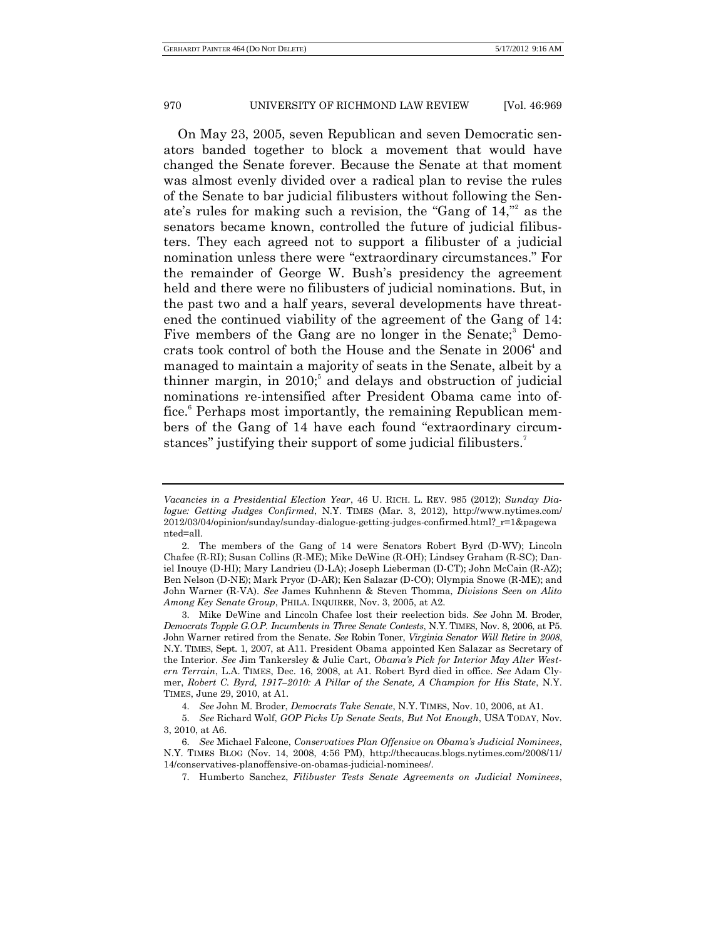On May 23, 2005, seven Republican and seven Democratic senators banded together to block a movement that would have changed the Senate forever. Because the Senate at that moment was almost evenly divided over a radical plan to revise the rules of the Senate to bar judicial filibusters without following the Senate's rules for making such a revision, the "Gang of 14," 2 as the senators became known, controlled the future of judicial filibusters. They each agreed not to support a filibuster of a judicial nomination unless there were "extraordinary circumstances." For the remainder of George W. Bush's presidency the agreement held and there were no filibusters of judicial nominations. But, in the past two and a half years, several developments have threatened the continued viability of the agreement of the Gang of 14: Five members of the Gang are no longer in the Senate;<sup>3</sup> Democrats took control of both the House and the Senate in 2006<sup>4</sup> and managed to maintain a majority of seats in the Senate, albeit by a thinner margin, in 2010; 5 and delays and obstruction of judicial nominations re-intensified after President Obama came into office. <sup>6</sup> Perhaps most importantly, the remaining Republican members of the Gang of 14 have each found "extraordinary circumstances" justifying their support of some judicial filibusters.<sup>7</sup>

*Vacancies in a Presidential Election Year*, 46 U. RICH. L. REV. 985 (2012); *Sunday Dialogue: Getting Judges Confirmed*, N.Y. TIMES (Mar. 3, 2012), http://www.nytimes.com/ 2012/03/04/opinion/sunday/sunday-dialogue-getting-judges-confirmed.html?\_r=1&pagewa nted=all.

<sup>2.</sup> The members of the Gang of 14 were Senators Robert Byrd (D-WV); Lincoln Chafee (R-RI); Susan Collins (R-ME); Mike DeWine (R-OH); Lindsey Graham (R-SC); Daniel Inouye (D-HI); Mary Landrieu (D-LA); Joseph Lieberman (D-CT); John McCain (R-AZ); Ben Nelson (D-NE); Mark Pryor (D-AR); Ken Salazar (D-CO); Olympia Snowe (R-ME); and John Warner (R-VA). *See* James Kuhnhenn & Steven Thomma, *Divisions Seen on Alito Among Key Senate Group*, PHILA. INQUIRER, Nov. 3, 2005, at A2.

<sup>3.</sup> Mike DeWine and Lincoln Chafee lost their reelection bids. *See* John M. Broder, *Democrats Topple G.O.P. Incumbents in Three Senate Contests*, N.Y. TIMES, Nov. 8, 2006, at P5. John Warner retired from the Senate. *See* Robin Toner, *Virginia Senator Will Retire in 2008*, N.Y. TIMES, Sept. 1, 2007, at A11. President Obama appointed Ken Salazar as Secretary of the Interior. *See* Jim Tankersley & Julie Cart, *Obama's Pick for Interior May Alter Western Terrain*, L.A. TIMES, Dec. 16, 2008, at A1. Robert Byrd died in office. *See* Adam Clymer, *Robert C. Byrd, 1917–2010: A Pillar of the Senate, A Champion for His State*, N.Y. TIMES, June 29, 2010, at A1.

<sup>4.</sup> *See* John M. Broder, *Democrats Take Senate*, N.Y. TIMES, Nov. 10, 2006, at A1.

<sup>5.</sup> *See* Richard Wolf, *GOP Picks Up Senate Seats, But Not Enough*, USA TODAY, Nov. 3, 2010, at A6.

<sup>6.</sup> *See* Michael Falcone, *Conservatives Plan Offensive on Obama's Judicial Nominees*, N.Y. TIMES BLOG (Nov. 14, 2008, 4:56 PM), http://thecaucas.blogs.nytimes.com/2008/11/ 14/conservatives-planoffensive-on-obamas-judicial-nominees/.

<sup>7.</sup> Humberto Sanchez, *Filibuster Tests Senate Agreements on Judicial Nominees*,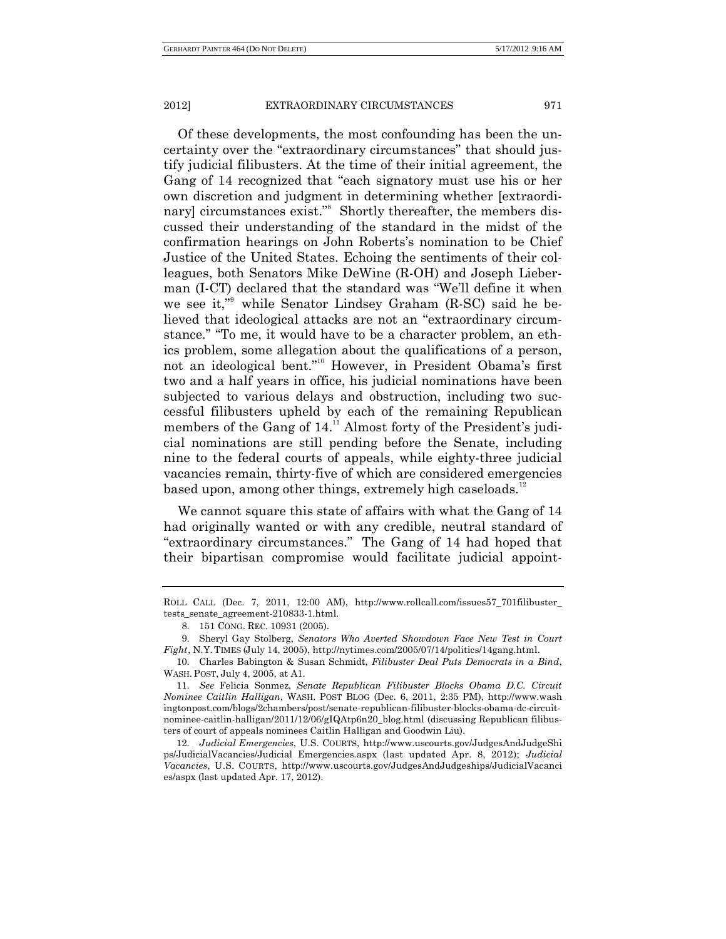Of these developments, the most confounding has been the uncertainty over the "extraordinary circumstances" that should justify judicial filibusters. At the time of their initial agreement, the Gang of 14 recognized that "each signatory must use his or her own discretion and judgment in determining whether [extraordinary] circumstances exist."<sup>8</sup> Shortly thereafter, the members discussed their understanding of the standard in the midst of the confirmation hearings on John Roberts's nomination to be Chief Justice of the United States. Echoing the sentiments of their colleagues, both Senators Mike DeWine (R-OH) and Joseph Lieberman (I-CT) declared that the standard was "We'll define it when we see it," while Senator Lindsey Graham (R-SC) said he believed that ideological attacks are not an "extraordinary circumstance." "To me, it would have to be a character problem, an ethics problem, some allegation about the qualifications of a person, not an ideological bent." <sup>10</sup> However, in President Obama's first two and a half years in office, his judicial nominations have been subjected to various delays and obstruction, including two successful filibusters upheld by each of the remaining Republican members of the Gang of 14.<sup>11</sup> Almost forty of the President's judicial nominations are still pending before the Senate, including nine to the federal courts of appeals, while eighty-three judicial vacancies remain, thirty-five of which are considered emergencies based upon, among other things, extremely high caseloads.<sup>12</sup>

We cannot square this state of affairs with what the Gang of 14 had originally wanted or with any credible, neutral standard of "extraordinary circumstances." The Gang of 14 had hoped that their bipartisan compromise would facilitate judicial appoint-

ROLL CALL (Dec. 7, 2011, 12:00 AM), http://www.rollcall.com/issues57\_701filibuster\_ tests\_senate\_agreement-210833-1.html.

<sup>8.</sup> 151 CONG. REC. 10931 (2005).

<sup>9.</sup> Sheryl Gay Stolberg, *Senators Who Averted Showdown Face New Test in Court Fight*, N.Y.TIMES (July 14, 2005), http://nytimes.com/2005/07/14/politics/14gang.html.

<sup>10.</sup> Charles Babington & Susan Schmidt, *Filibuster Deal Puts Democrats in a Bind*, WASH.POST, July 4, 2005, at A1.

<sup>11.</sup> *See* Felicia Sonmez, *Senate Republican Filibuster Blocks Obama D.C. Circuit Nominee Caitlin Halligan*, WASH. POST BLOG (Dec. 6, 2011, 2:35 PM), http://www.wash ingtonpost.com/blogs/2chambers/post/senate-republican-filibuster-blocks-obama-dc-circuitnominee-caitlin-halligan/2011/12/06/gIQAtp6n20\_blog.html (discussing Republican filibusters of court of appeals nominees Caitlin Halligan and Goodwin Liu).

<sup>12.</sup> *Judicial Emergencies*, U.S. COURTS, http://www.uscourts.gov/JudgesAndJudgeShi ps/JudicialVacancies/Judicial Emergencies.aspx (last updated Apr. 8, 2012); *Judicial Vacancies*, U.S. COURTS, http://www.uscourts.gov/JudgesAndJudgeships/JudicialVacanci es/aspx (last updated Apr. 17, 2012).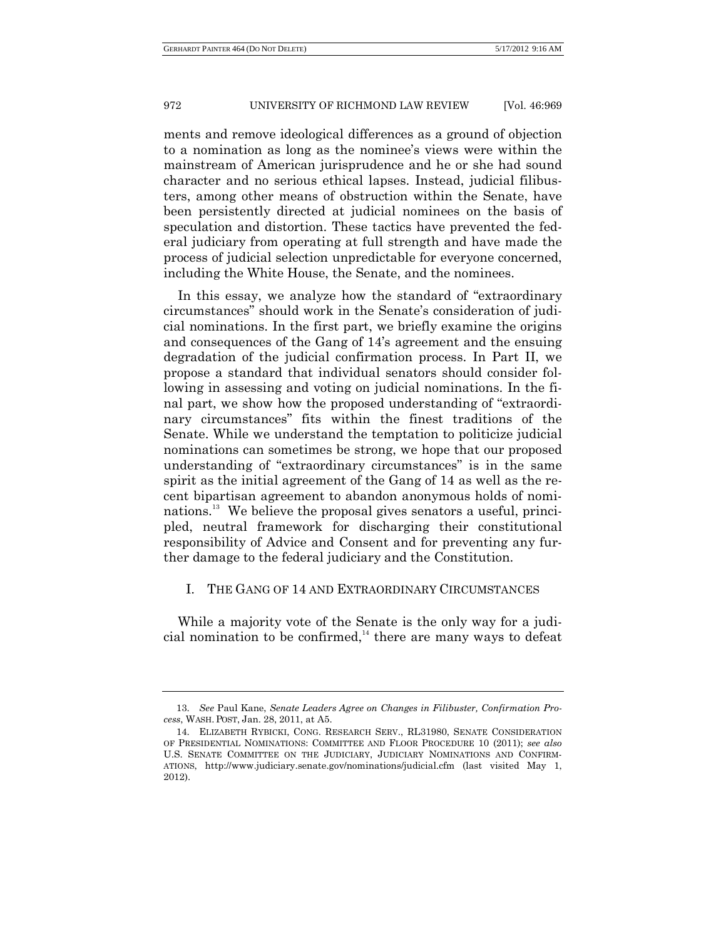ments and remove ideological differences as a ground of objection to a nomination as long as the nominee's views were within the mainstream of American jurisprudence and he or she had sound character and no serious ethical lapses. Instead, judicial filibusters, among other means of obstruction within the Senate, have been persistently directed at judicial nominees on the basis of speculation and distortion. These tactics have prevented the federal judiciary from operating at full strength and have made the process of judicial selection unpredictable for everyone concerned, including the White House, the Senate, and the nominees.

In this essay, we analyze how the standard of "extraordinary circumstances" should work in the Senate's consideration of judicial nominations. In the first part, we briefly examine the origins and consequences of the Gang of 14's agreement and the ensuing degradation of the judicial confirmation process. In Part II, we propose a standard that individual senators should consider following in assessing and voting on judicial nominations. In the final part, we show how the proposed understanding of "extraordinary circumstances" fits within the finest traditions of the Senate. While we understand the temptation to politicize judicial nominations can sometimes be strong, we hope that our proposed understanding of "extraordinary circumstances" is in the same spirit as the initial agreement of the Gang of 14 as well as the recent bipartisan agreement to abandon anonymous holds of nominations. <sup>13</sup> We believe the proposal gives senators a useful, principled, neutral framework for discharging their constitutional responsibility of Advice and Consent and for preventing any further damage to the federal judiciary and the Constitution.

### I. THE GANG OF 14 AND EXTRAORDINARY CIRCUMSTANCES

While a majority vote of the Senate is the only way for a judicial nomination to be confirmed, $^{14}$  there are many ways to defeat

<sup>13.</sup> *See* Paul Kane, *Senate Leaders Agree on Changes in Filibuster, Confirmation Process*, WASH.POST, Jan. 28, 2011, at A5.

<sup>14.</sup> ELIZABETH RYBICKI, CONG. RESEARCH SERV., RL31980, SENATE CONSIDERATION OF PRESIDENTIAL NOMINATIONS: COMMITTEE AND FLOOR PROCEDURE 10 (2011); *see also* U.S. SENATE COMMITTEE ON THE JUDICIARY, JUDICIARY NOMINATIONS AND CONFIRM-ATIONS, http://www.judiciary.senate.gov/nominations/judicial.cfm (last visited May 1, 2012).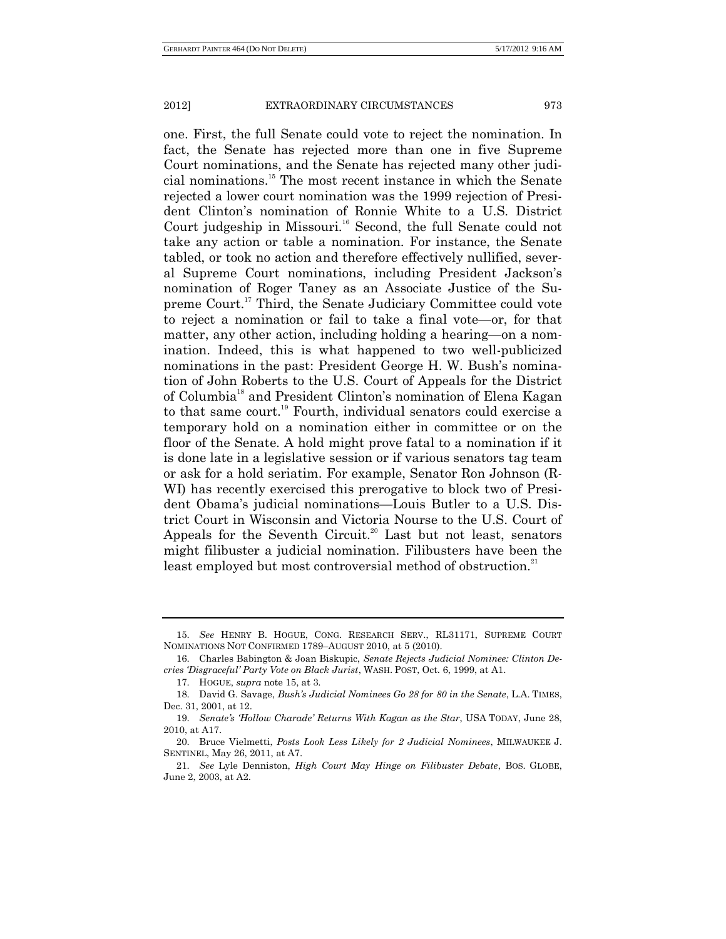one. First, the full Senate could vote to reject the nomination. In fact, the Senate has rejected more than one in five Supreme Court nominations, and the Senate has rejected many other judicial nominations.<sup>15</sup> The most recent instance in which the Senate rejected a lower court nomination was the 1999 rejection of President Clinton's nomination of Ronnie White to a U.S. District Court judgeship in Missouri.<sup>16</sup> Second, the full Senate could not take any action or table a nomination. For instance, the Senate tabled, or took no action and therefore effectively nullified, several Supreme Court nominations, including President Jackson's nomination of Roger Taney as an Associate Justice of the Supreme Court.<sup>17</sup> Third, the Senate Judiciary Committee could vote to reject a nomination or fail to take a final vote—or, for that matter, any other action, including holding a hearing—on a nomination. Indeed, this is what happened to two well-publicized nominations in the past: President George H. W. Bush's nomination of John Roberts to the U.S. Court of Appeals for the District of Columbia<sup>18</sup> and President Clinton's nomination of Elena Kagan to that same court.<sup>19</sup> Fourth, individual senators could exercise a temporary hold on a nomination either in committee or on the floor of the Senate. A hold might prove fatal to a nomination if it is done late in a legislative session or if various senators tag team or ask for a hold seriatim. For example, Senator Ron Johnson (R-WI) has recently exercised this prerogative to block two of President Obama's judicial nominations—Louis Butler to a U.S. District Court in Wisconsin and Victoria Nourse to the U.S. Court of Appeals for the Seventh Circuit.<sup>20</sup> Last but not least, senators might filibuster a judicial nomination. Filibusters have been the least employed but most controversial method of obstruction.<sup>21</sup>

17. HOGUE, *supra* note 15, at 3.

<sup>15.</sup> *See* HENRY B. HOGUE, CONG. RESEARCH SERV., RL31171, SUPREME COURT NOMINATIONS NOT CONFIRMED 1789–AUGUST 2010, at 5 (2010).

<sup>16.</sup> Charles Babington & Joan Biskupic, *Senate Rejects Judicial Nominee: Clinton Decries 'Disgraceful' Party Vote on Black Jurist*, WASH. POST, Oct. 6, 1999, at A1.

<sup>18.</sup> David G. Savage, *Bush's Judicial Nominees Go 28 for 80 in the Senate*, L.A. TIMES, Dec. 31, 2001, at 12.

<sup>19.</sup> *Senate's 'Hollow Charade' Returns With Kagan as the Star*, USA TODAY, June 28, 2010, at A17.

<sup>20.</sup> Bruce Vielmetti, *Posts Look Less Likely for 2 Judicial Nominees*, MILWAUKEE J. SENTINEL, May 26, 2011, at A7.

<sup>21.</sup> *See* Lyle Denniston, *High Court May Hinge on Filibuster Debate*, BOS. GLOBE, June 2, 2003, at A2.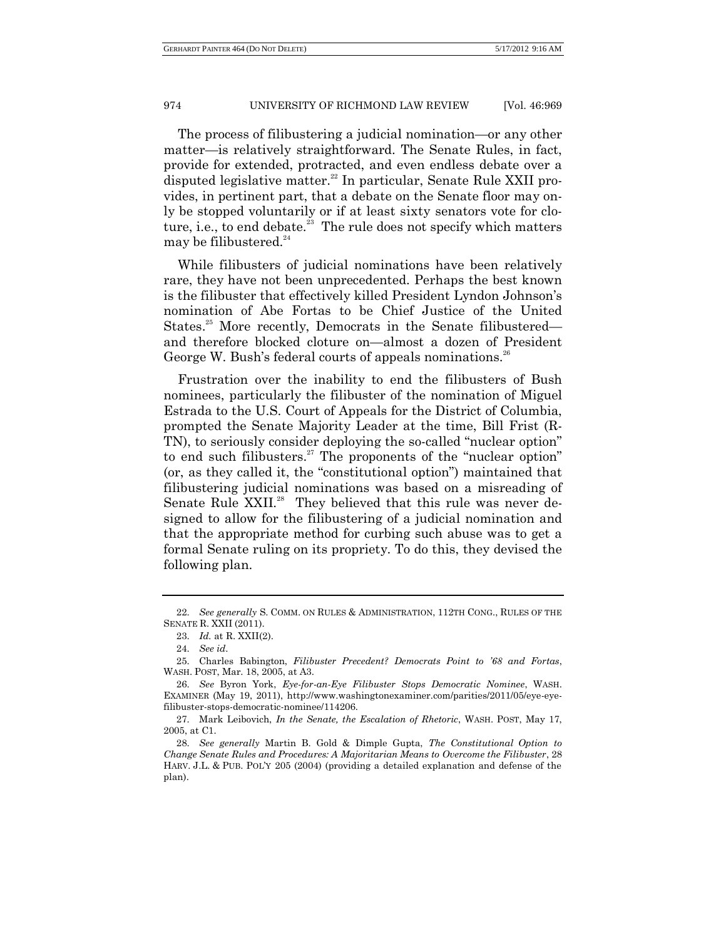The process of filibustering a judicial nomination—or any other matter—is relatively straightforward. The Senate Rules, in fact, provide for extended, protracted, and even endless debate over a disputed legislative matter. <sup>22</sup> In particular, Senate Rule XXII provides, in pertinent part, that a debate on the Senate floor may only be stopped voluntarily or if at least sixty senators vote for cloture, i.e., to end debate.<sup>23</sup> The rule does not specify which matters may be filibustered. $24$ 

While filibusters of judicial nominations have been relatively rare, they have not been unprecedented. Perhaps the best known is the filibuster that effectively killed President Lyndon Johnson's nomination of Abe Fortas to be Chief Justice of the United States.<sup>25</sup> More recently, Democrats in the Senate filibustered and therefore blocked cloture on—almost a dozen of President George W. Bush's federal courts of appeals nominations.<sup>26</sup>

Frustration over the inability to end the filibusters of Bush nominees, particularly the filibuster of the nomination of Miguel Estrada to the U.S. Court of Appeals for the District of Columbia, prompted the Senate Majority Leader at the time, Bill Frist (R-TN), to seriously consider deploying the so-called "nuclear option" to end such filibusters.<sup>27</sup> The proponents of the "nuclear option" (or, as they called it, the "constitutional option") maintained that filibustering judicial nominations was based on a misreading of Senate Rule XXII.<sup>28</sup> They believed that this rule was never designed to allow for the filibustering of a judicial nomination and that the appropriate method for curbing such abuse was to get a formal Senate ruling on its propriety. To do this, they devised the following plan.

<sup>22.</sup> *See generally* S. COMM. ON RULES & ADMINISTRATION, 112TH CONG., RULES OF THE SENATE R. XXII (2011).

<sup>23.</sup> *Id.* at R. XXII(2).

<sup>24.</sup> *See id*.

<sup>25.</sup> Charles Babington, *Filibuster Precedent? Democrats Point to '68 and Fortas*, WASH. POST, Mar. 18, 2005, at A3.

<sup>26.</sup> *See* Byron York, *Eye-for-an-Eye Filibuster Stops Democratic Nominee*, WASH. EXAMINER (May 19, 2011), http://www.washingtonexaminer.com/parities/2011/05/eye-eyefilibuster-stops-democratic-nominee/114206.

<sup>27.</sup> Mark Leibovich, *In the Senate, the Escalation of Rhetoric*, WASH. POST, May 17, 2005, at C1.

<sup>28.</sup> *See generally* Martin B. Gold & Dimple Gupta, *The Constitutional Option to Change Senate Rules and Procedures: A Majoritarian Means to Overcome the Filibuster*, 28 HARV. J.L. & PUB. POL'Y 205 (2004) (providing a detailed explanation and defense of the plan).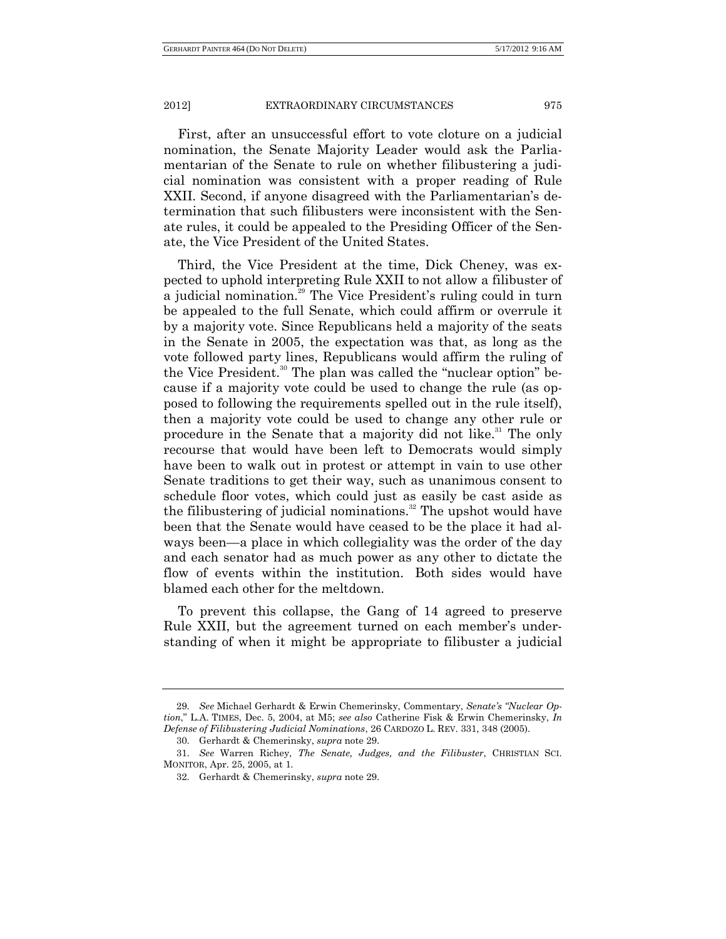First, after an unsuccessful effort to vote cloture on a judicial nomination, the Senate Majority Leader would ask the Parliamentarian of the Senate to rule on whether filibustering a judicial nomination was consistent with a proper reading of Rule XXII. Second, if anyone disagreed with the Parliamentarian's determination that such filibusters were inconsistent with the Senate rules, it could be appealed to the Presiding Officer of the Senate, the Vice President of the United States.

Third, the Vice President at the time, Dick Cheney, was expected to uphold interpreting Rule XXII to not allow a filibuster of a judicial nomination.<sup>29</sup> The Vice President's ruling could in turn be appealed to the full Senate, which could affirm or overrule it by a majority vote. Since Republicans held a majority of the seats in the Senate in 2005, the expectation was that, as long as the vote followed party lines, Republicans would affirm the ruling of the Vice President.<sup>30</sup> The plan was called the "nuclear option" because if a majority vote could be used to change the rule (as opposed to following the requirements spelled out in the rule itself), then a majority vote could be used to change any other rule or procedure in the Senate that a majority did not like.<sup>31</sup> The only recourse that would have been left to Democrats would simply have been to walk out in protest or attempt in vain to use other Senate traditions to get their way, such as unanimous consent to schedule floor votes, which could just as easily be cast aside as the filibustering of judicial nominations.<sup>32</sup> The upshot would have been that the Senate would have ceased to be the place it had always been—a place in which collegiality was the order of the day and each senator had as much power as any other to dictate the flow of events within the institution. Both sides would have blamed each other for the meltdown.

To prevent this collapse, the Gang of 14 agreed to preserve Rule XXII, but the agreement turned on each member's understanding of when it might be appropriate to filibuster a judicial

<sup>29.</sup> *See* Michael Gerhardt & Erwin Chemerinsky, Commentary, *Senate's "Nuclear Option*," L.A. TIMES, Dec. 5, 2004, at M5; *see also* Catherine Fisk & Erwin Chemerinsky, *In Defense of Filibustering Judicial Nominations*, 26 CARDOZO L. REV. 331, 348 (2005).

<sup>30.</sup> Gerhardt & Chemerinsky, *supra* note 29.

<sup>31.</sup> *See* Warren Richey, *The Senate, Judges, and the Filibuster*, CHRISTIAN SCI. MONITOR, Apr. 25, 2005, at 1.

<sup>32.</sup> Gerhardt & Chemerinsky, *supra* note 29.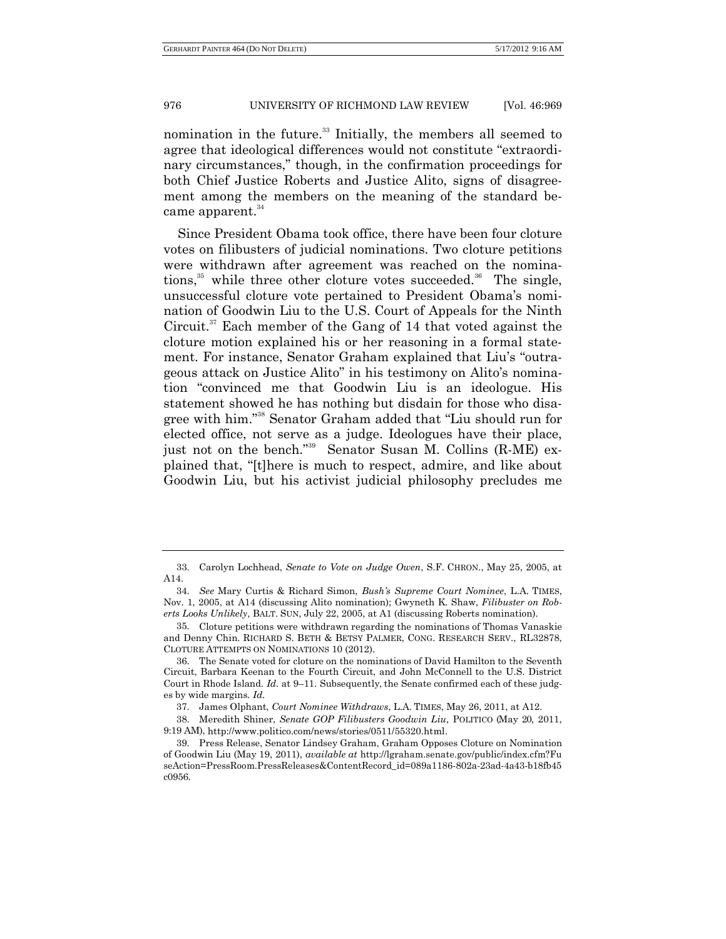nomination in the future.<sup>33</sup> Initially, the members all seemed to agree that ideological differences would not constitute "extraordinary circumstances," though, in the confirmation proceedings for both Chief Justice Roberts and Justice Alito, signs of disagreement among the members on the meaning of the standard became apparent.<sup>34</sup>

Since President Obama took office, there have been four cloture votes on filibusters of judicial nominations. Two cloture petitions were withdrawn after agreement was reached on the nominations, <sup>35</sup> while three other cloture votes succeeded. <sup>36</sup> The single, unsuccessful cloture vote pertained to President Obama's nomination of Goodwin Liu to the U.S. Court of Appeals for the Ninth Circuit. <sup>37</sup> Each member of the Gang of 14 that voted against the cloture motion explained his or her reasoning in a formal statement. For instance, Senator Graham explained that Liu's "outrageous attack on Justice Alito" in his testimony on Alito's nomination "convinced me that Goodwin Liu is an ideologue. His statement showed he has nothing but disdain for those who disagree with him." <sup>38</sup> Senator Graham added that "Liu should run for elected office, not serve as a judge. Ideologues have their place, just not on the bench."<sup>39</sup> Senator Susan M. Collins (R-ME) explained that, "[t]here is much to respect, admire, and like about Goodwin Liu, but his activist judicial philosophy precludes me

<sup>33.</sup> Carolyn Lochhead, *Senate to Vote on Judge Owen*, S.F. CHRON., May 25, 2005, at A14.

<sup>34.</sup> *See* Mary Curtis & Richard Simon, *Bush's Supreme Court Nominee*, L.A. TIMES, Nov. 1, 2005, at A14 (discussing Alito nomination); Gwyneth K. Shaw, *Filibuster on Roberts Looks Unlikely*, BALT. SUN, July 22, 2005, at A1 (discussing Roberts nomination).

<sup>35.</sup> Cloture petitions were withdrawn regarding the nominations of Thomas Vanaskie and Denny Chin. RICHARD S. BETH & BETSY PALMER, CONG. RESEARCH SERV., RL32878, CLOTURE ATTEMPTS ON NOMINATIONS 10 (2012).

<sup>36.</sup> The Senate voted for cloture on the nominations of David Hamilton to the Seventh Circuit, Barbara Keenan to the Fourth Circuit, and John McConnell to the U.S. District Court in Rhode Island. *Id*. at 9–11. Subsequently, the Senate confirmed each of these judges by wide margins. *Id*.

<sup>37.</sup> James Olphant, *Court Nominee Withdraws*, L.A. TIMES, May 26, 2011, at A12.

<sup>38.</sup> Meredith Shiner, *Senate GOP Filibusters Goodwin Liu*, POLITICO (May 20, 2011, 9:19 AM), http://www.politico.com/news/stories/0511/55320.html.

<sup>39.</sup> Press Release, Senator Lindsey Graham, Graham Opposes Cloture on Nomination of Goodwin Liu (May 19, 2011), *available at* http://lgraham.senate.gov/public/index.cfm?Fu seAction=PressRoom.PressReleases&ContentRecord\_id=089a1186[-802a-23ad-4a43-b18fb45](http://lgraham.senate.gov/public/index.cfm?FuseAction=PressRoom.PressReleases&ContentRecord_id=089a1186-802a-23ad-4a43-b18fb45c0956&Region_id&Issue_id%20)  [c0956.](http://lgraham.senate.gov/public/index.cfm?FuseAction=PressRoom.PressReleases&ContentRecord_id=089a1186-802a-23ad-4a43-b18fb45c0956&Region_id&Issue_id%20)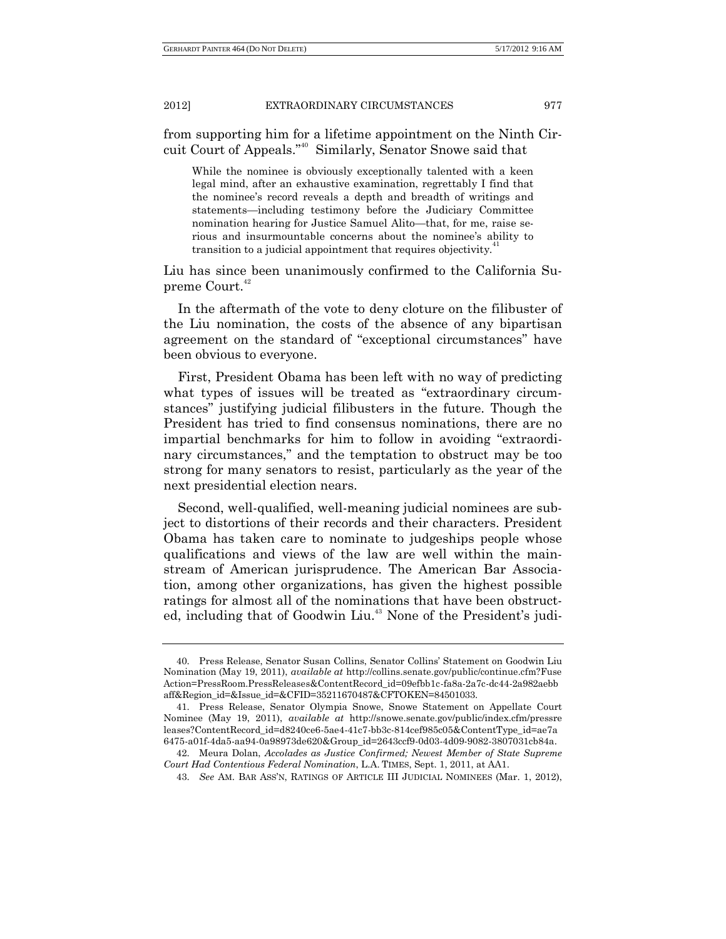from supporting him for a lifetime appointment on the Ninth Circuit Court of Appeals." <sup>40</sup> Similarly, Senator Snowe said that

While the nominee is obviously exceptionally talented with a keen legal mind, after an exhaustive examination, regrettably I find that the nominee's record reveals a depth and breadth of writings and statements—including testimony before the Judiciary Committee nomination hearing for Justice Samuel Alito—that, for me, raise serious and insurmountable concerns about the nominee's ability to transition to a judicial appointment that requires objectivity.<sup>41</sup>

Liu has since been unanimously confirmed to the California Supreme Court.<sup>42</sup>

In the aftermath of the vote to deny cloture on the filibuster of the Liu nomination, the costs of the absence of any bipartisan agreement on the standard of "exceptional circumstances" have been obvious to everyone.

First, President Obama has been left with no way of predicting what types of issues will be treated as "extraordinary circumstances" justifying judicial filibusters in the future. Though the President has tried to find consensus nominations, there are no impartial benchmarks for him to follow in avoiding "extraordinary circumstances," and the temptation to obstruct may be too strong for many senators to resist, particularly as the year of the next presidential election nears.

Second, well-qualified, well-meaning judicial nominees are subject to distortions of their records and their characters. President Obama has taken care to nominate to judgeships people whose qualifications and views of the law are well within the mainstream of American jurisprudence. The American Bar Association, among other organizations, has given the highest possible ratings for almost all of the nominations that have been obstructed, including that of Goodwin Liu.<sup>43</sup> None of the President's judi-

<sup>40.</sup> Press Release, Senator Susan Collins, Senator Collins' Statement on Goodwin Liu Nomination (May 19, 2011), *available at* http://collins.senate.gov/public/continue.cfm?Fuse Action=PressRoom.PressReleases&ContentRecord\_id=09efbb1c-fa8a-2a7c-dc44-2a982aebb aff&Region\_id=&Issue\_id=&CFID=35211670487&CFTOKEN=84501033.

<sup>41.</sup> Press Release, Senator Olympia Snowe, Snowe Statement on Appellate Court Nominee (May 19, 2011), *available at* http://snowe.senate.gov/public/index.cfm/pressre leases?ContentRecord\_id=d8240ce6-5ae4-41c7-bb3c[-814cef985c05&ContentType\\_id=ae7a](http://snowe.senate.gov/public/index.cfm/pressreleases?ContentRecord_id=d8240ce6-5ae4-41c7-bb3c-814cef985c05&ContentType_id=ae7a6475-a01f-4da5-aa94-0a98973de620&Group_id=2643ccf9-0d03-4d09-9082-3807031cb84a)  [6475-a01f-4da5-aa94-0a98973de620&Group\\_id=2643ccf9-0d03-4d09-9082-3807031cb84a.](http://snowe.senate.gov/public/index.cfm/pressreleases?ContentRecord_id=d8240ce6-5ae4-41c7-bb3c-814cef985c05&ContentType_id=ae7a6475-a01f-4da5-aa94-0a98973de620&Group_id=2643ccf9-0d03-4d09-9082-3807031cb84a)

<sup>42.</sup> Meura Dolan, *Accolades as Justice Confirmed; Newest Member of State Supreme Court Had Contentious Federal Nomination*, L.A. TIMES, Sept. 1, 2011, at AA1.

<sup>43.</sup> *See* AM. BAR ASS'N, RATINGS OF ARTICLE III JUDICIAL NOMINEES (Mar. 1, 2012),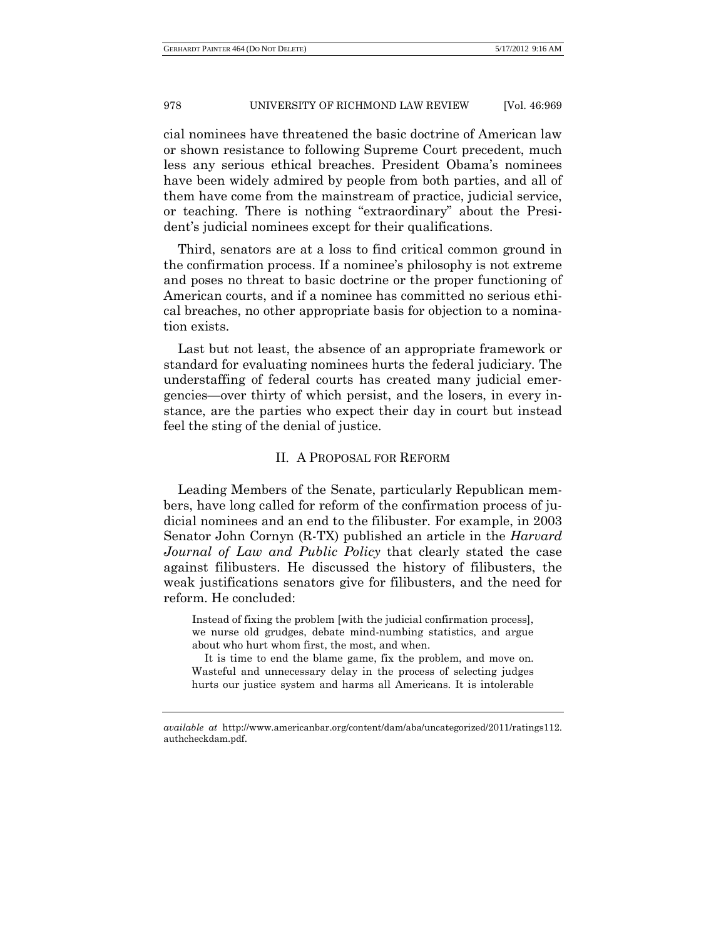cial nominees have threatened the basic doctrine of American law or shown resistance to following Supreme Court precedent, much less any serious ethical breaches. President Obama's nominees have been widely admired by people from both parties, and all of them have come from the mainstream of practice, judicial service, or teaching. There is nothing "extraordinary" about the President's judicial nominees except for their qualifications.

Third, senators are at a loss to find critical common ground in the confirmation process. If a nominee's philosophy is not extreme and poses no threat to basic doctrine or the proper functioning of American courts, and if a nominee has committed no serious ethical breaches, no other appropriate basis for objection to a nomination exists.

Last but not least, the absence of an appropriate framework or standard for evaluating nominees hurts the federal judiciary. The understaffing of federal courts has created many judicial emergencies—over thirty of which persist, and the losers, in every instance, are the parties who expect their day in court but instead feel the sting of the denial of justice.

#### II. A PROPOSAL FOR REFORM

Leading Members of the Senate, particularly Republican members, have long called for reform of the confirmation process of judicial nominees and an end to the filibuster. For example, in 2003 Senator John Cornyn (R-TX) published an article in the *Harvard Journal of Law and Public Policy* that clearly stated the case against filibusters. He discussed the history of filibusters, the weak justifications senators give for filibusters, and the need for reform. He concluded:

Instead of fixing the problem [with the judicial confirmation process], we nurse old grudges, debate mind-numbing statistics, and argue about who hurt whom first, the most, and when.

It is time to end the blame game, fix the problem, and move on. Wasteful and unnecessary delay in the process of selecting judges hurts our justice system and harms all Americans. It is intolerable

*available at* http://www.americanbar.org/content/dam/aba/uncategorized/2011/ratings112. authcheckdam.pdf.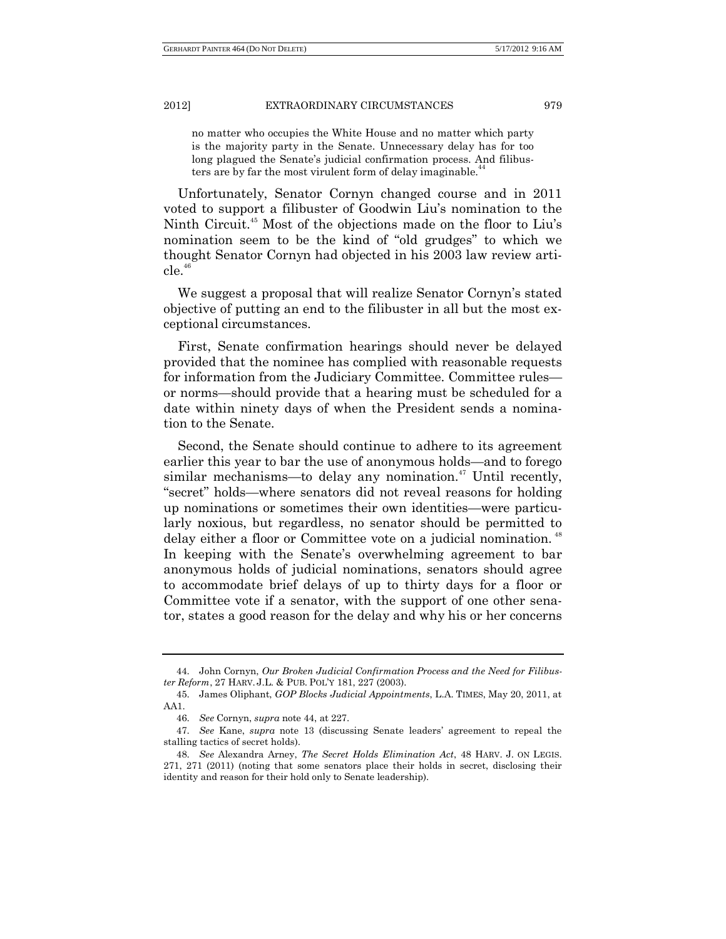no matter who occupies the White House and no matter which party is the majority party in the Senate. Unnecessary delay has for too long plagued the Senate's judicial confirmation process. And filibusters are by far the most virulent form of delay imaginable.<sup>4</sup>

Unfortunately, Senator Cornyn changed course and in 2011 voted to support a filibuster of Goodwin Liu's nomination to the Ninth Circuit. <sup>45</sup> Most of the objections made on the floor to Liu's nomination seem to be the kind of "old grudges" to which we thought Senator Cornyn had objected in his 2003 law review arti $c$ le.<sup>46</sup>

We suggest a proposal that will realize Senator Cornyn's stated objective of putting an end to the filibuster in all but the most exceptional circumstances.

First, Senate confirmation hearings should never be delayed provided that the nominee has complied with reasonable requests for information from the Judiciary Committee. Committee rules or norms—should provide that a hearing must be scheduled for a date within ninety days of when the President sends a nomination to the Senate.

Second, the Senate should continue to adhere to its agreement earlier this year to bar the use of anonymous holds—and to forego similar mechanisms—to delay any nomination.<sup>47</sup> Until recently, "secret" holds—where senators did not reveal reasons for holding up nominations or sometimes their own identities—were particularly noxious, but regardless, no senator should be permitted to delay either a floor or Committee vote on a judicial nomination.<sup>48</sup> In keeping with the Senate's overwhelming agreement to bar anonymous holds of judicial nominations, senators should agree to accommodate brief delays of up to thirty days for a floor or Committee vote if a senator, with the support of one other senator, states a good reason for the delay and why his or her concerns

<sup>44.</sup> John Cornyn, *Our Broken Judicial Confirmation Process and the Need for Filibuster Reform*, 27 HARV. J.L. & PUB. POL'Y 181, 227 (2003).

<sup>45.</sup> James Oliphant, *GOP Blocks Judicial Appointments*, L.A. TIMES, May 20, 2011, at AA1.

<sup>46.</sup> *See* Cornyn, *supra* note 44, at 227.

<sup>47.</sup> *See* Kane, *supra* note 13 (discussing Senate leaders' agreement to repeal the stalling tactics of secret holds).

<sup>48.</sup> *See* Alexandra Arney, *The Secret Holds Elimination Act*, 48 HARV. J. ON LEGIS. 271, 271 (2011) (noting that some senators place their holds in secret, disclosing their identity and reason for their hold only to Senate leadership).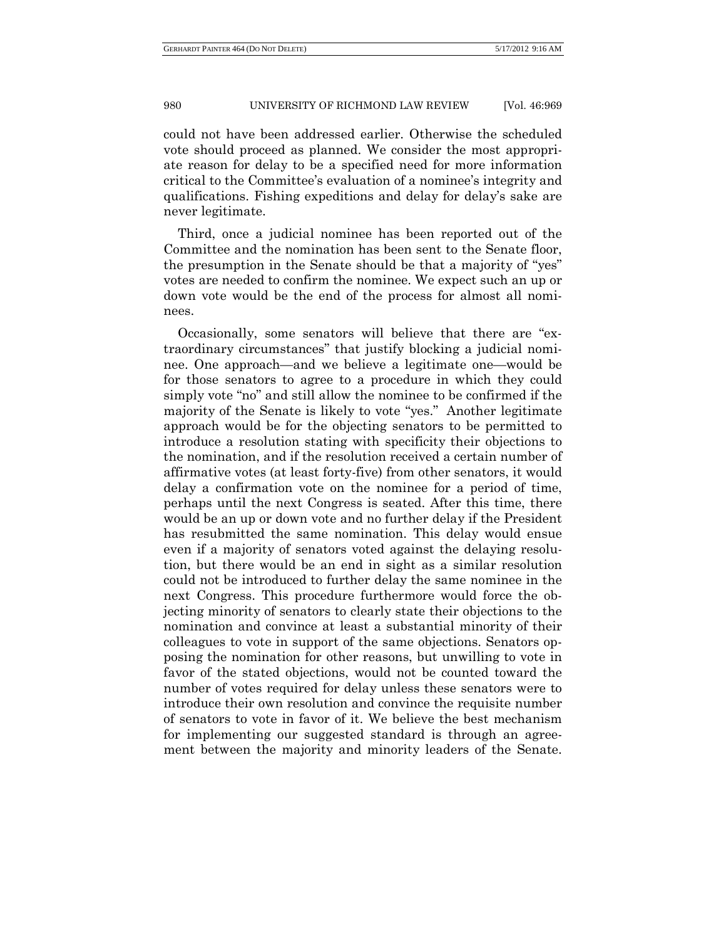could not have been addressed earlier. Otherwise the scheduled vote should proceed as planned. We consider the most appropriate reason for delay to be a specified need for more information critical to the Committee's evaluation of a nominee's integrity and qualifications. Fishing expeditions and delay for delay's sake are never legitimate.

Third, once a judicial nominee has been reported out of the Committee and the nomination has been sent to the Senate floor, the presumption in the Senate should be that a majority of "yes" votes are needed to confirm the nominee. We expect such an up or down vote would be the end of the process for almost all nominees.

Occasionally, some senators will believe that there are "extraordinary circumstances" that justify blocking a judicial nominee. One approach—and we believe a legitimate one—would be for those senators to agree to a procedure in which they could simply vote "no" and still allow the nominee to be confirmed if the majority of the Senate is likely to vote "yes." Another legitimate approach would be for the objecting senators to be permitted to introduce a resolution stating with specificity their objections to the nomination, and if the resolution received a certain number of affirmative votes (at least forty-five) from other senators, it would delay a confirmation vote on the nominee for a period of time, perhaps until the next Congress is seated. After this time, there would be an up or down vote and no further delay if the President has resubmitted the same nomination. This delay would ensue even if a majority of senators voted against the delaying resolution, but there would be an end in sight as a similar resolution could not be introduced to further delay the same nominee in the next Congress. This procedure furthermore would force the objecting minority of senators to clearly state their objections to the nomination and convince at least a substantial minority of their colleagues to vote in support of the same objections. Senators opposing the nomination for other reasons, but unwilling to vote in favor of the stated objections, would not be counted toward the number of votes required for delay unless these senators were to introduce their own resolution and convince the requisite number of senators to vote in favor of it. We believe the best mechanism for implementing our suggested standard is through an agreement between the majority and minority leaders of the Senate.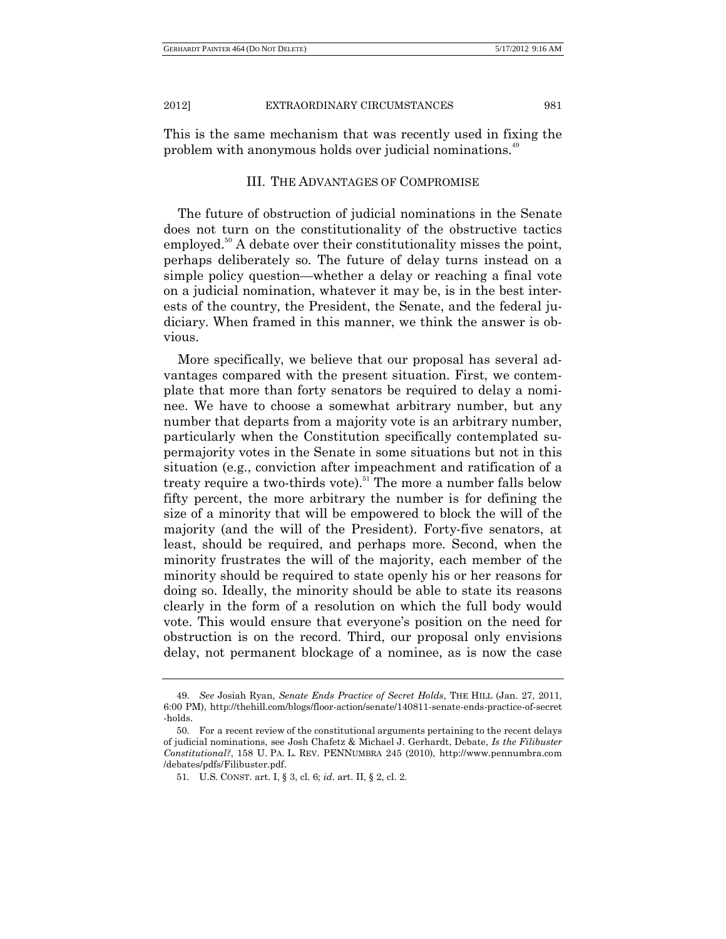This is the same mechanism that was recently used in fixing the problem with anonymous holds over judicial nominations.<sup>49</sup>

#### III. THE ADVANTAGES OF COMPROMISE

The future of obstruction of judicial nominations in the Senate does not turn on the constitutionality of the obstructive tactics employed.<sup>50</sup> A debate over their constitutionality misses the point, perhaps deliberately so. The future of delay turns instead on a simple policy question—whether a delay or reaching a final vote on a judicial nomination, whatever it may be, is in the best interests of the country, the President, the Senate, and the federal judiciary. When framed in this manner, we think the answer is obvious.

More specifically, we believe that our proposal has several advantages compared with the present situation. First, we contemplate that more than forty senators be required to delay a nominee. We have to choose a somewhat arbitrary number, but any number that departs from a majority vote is an arbitrary number, particularly when the Constitution specifically contemplated supermajority votes in the Senate in some situations but not in this situation (e.g., conviction after impeachment and ratification of a treaty require a two-thirds vote).<sup>51</sup> The more a number falls below fifty percent, the more arbitrary the number is for defining the size of a minority that will be empowered to block the will of the majority (and the will of the President). Forty-five senators, at least, should be required, and perhaps more. Second, when the minority frustrates the will of the majority, each member of the minority should be required to state openly his or her reasons for doing so. Ideally, the minority should be able to state its reasons clearly in the form of a resolution on which the full body would vote. This would ensure that everyone's position on the need for obstruction is on the record. Third, our proposal only envisions delay, not permanent blockage of a nominee, as is now the case

<sup>49.</sup> *See* Josiah Ryan, *Senate Ends Practice of Secret Holds*, THE HILL (Jan. 27, 2011, 6:00 PM), http://thehill.com/blogs/floor-action/senate/140811-senate-ends-practice-of-secret -holds.

<sup>50.</sup> For a recent review of the constitutional arguments pertaining to the recent delays of judicial nominations, see Josh Chafetz & Michael J. Gerhardt, Debate, *Is the Filibuster Constitutional?*, 158 U. PA. L. REV. PENNUMBRA 245 (2010), http://www.pennumbra.com /debates/pdfs/Filibuster.pdf.

<sup>51.</sup> U.S. CONST. art. I, § 3, cl. 6; *id*. art. II, § 2, cl. 2.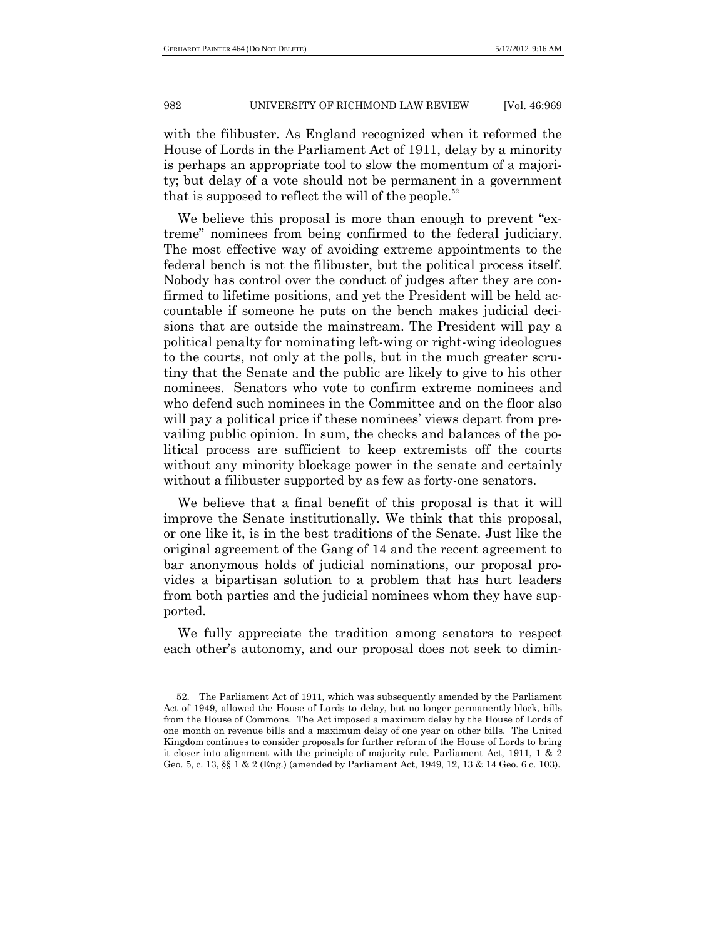with the filibuster. As England recognized when it reformed the House of Lords in the Parliament Act of 1911, delay by a minority is perhaps an appropriate tool to slow the momentum of a majority; but delay of a vote should not be permanent in a government that is supposed to reflect the will of the people.<sup>52</sup>

We believe this proposal is more than enough to prevent "extreme" nominees from being confirmed to the federal judiciary. The most effective way of avoiding extreme appointments to the federal bench is not the filibuster, but the political process itself. Nobody has control over the conduct of judges after they are confirmed to lifetime positions, and yet the President will be held accountable if someone he puts on the bench makes judicial decisions that are outside the mainstream. The President will pay a political penalty for nominating left-wing or right-wing ideologues to the courts, not only at the polls, but in the much greater scrutiny that the Senate and the public are likely to give to his other nominees. Senators who vote to confirm extreme nominees and who defend such nominees in the Committee and on the floor also will pay a political price if these nominees' views depart from prevailing public opinion. In sum, the checks and balances of the political process are sufficient to keep extremists off the courts without any minority blockage power in the senate and certainly without a filibuster supported by as few as forty-one senators.

We believe that a final benefit of this proposal is that it will improve the Senate institutionally. We think that this proposal, or one like it, is in the best traditions of the Senate. Just like the original agreement of the Gang of 14 and the recent agreement to bar anonymous holds of judicial nominations, our proposal provides a bipartisan solution to a problem that has hurt leaders from both parties and the judicial nominees whom they have supported.

We fully appreciate the tradition among senators to respect each other's autonomy, and our proposal does not seek to dimin-

<sup>52.</sup> The Parliament Act of 1911, which was subsequently amended by the Parliament Act of 1949, allowed the House of Lords to delay, but no longer permanently block, bills from the House of Commons. The Act imposed a maximum delay by the House of Lords of one month on revenue bills and a maximum delay of one year on other bills. The United Kingdom continues to consider proposals for further reform of the House of Lords to bring it closer into alignment with the principle of majority rule. Parliament Act, 1911, 1 & 2 Geo. 5, c. 13, §§ 1 & 2 (Eng.) (amended by Parliament Act, 1949, 12, 13 & 14 Geo. 6 c. 103).